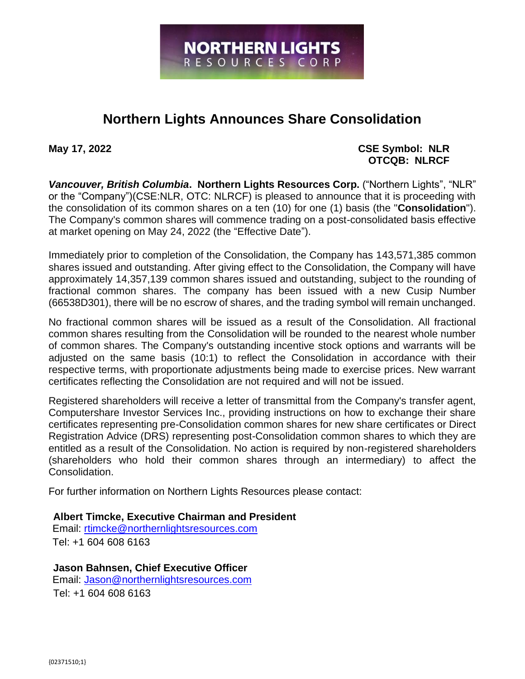

## **Northern Lights Announces Share Consolidation**

## **May 17, 2022 CSE Symbol: NLR OTCQB: NLRCF**

*Vancouver, British Columbia***. Northern Lights Resources Corp.** ("Northern Lights", "NLR" or the "Company")(CSE:NLR, OTC: NLRCF) is pleased to announce that it is proceeding with the consolidation of its common shares on a ten (10) for one (1) basis (the "**Consolidation**"). The Company's common shares will commence trading on a post-consolidated basis effective at market opening on May 24, 2022 (the "Effective Date").

Immediately prior to completion of the Consolidation, the Company has 143,571,385 common shares issued and outstanding. After giving effect to the Consolidation, the Company will have approximately 14,357,139 common shares issued and outstanding, subject to the rounding of fractional common shares. The company has been issued with a new Cusip Number (66538D301), there will be no escrow of shares, and the trading symbol will remain unchanged.

No fractional common shares will be issued as a result of the Consolidation. All fractional common shares resulting from the Consolidation will be rounded to the nearest whole number of common shares. The Company's outstanding incentive stock options and warrants will be adjusted on the same basis (10:1) to reflect the Consolidation in accordance with their respective terms, with proportionate adjustments being made to exercise prices. New warrant certificates reflecting the Consolidation are not required and will not be issued.

Registered shareholders will receive a letter of transmittal from the Company's transfer agent, Computershare Investor Services Inc., providing instructions on how to exchange their share certificates representing pre-Consolidation common shares for new share certificates or Direct Registration Advice (DRS) representing post-Consolidation common shares to which they are entitled as a result of the Consolidation. No action is required by non-registered shareholders (shareholders who hold their common shares through an intermediary) to affect the Consolidation.

For further information on Northern Lights Resources please contact:

**Albert Timcke, Executive Chairman and President**  Email: rtimcke@northernlightsresources.com

Tel: +1 604 608 6163

**Jason Bahnsen, Chief Executive Officer**  Email: Jason@northernlightsresources.com Tel: +1 604 608 6163